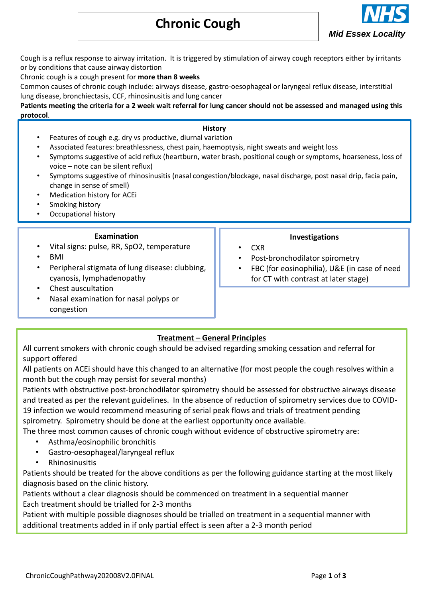# **Chronic Cough**



Cough is a reflux response to airway irritation. It is triggered by stimulation of airway cough receptors either by irritants or by conditions that cause airway distortion

Chronic cough is a cough present for **more than 8 weeks**

Common causes of chronic cough include: airways disease, gastro-oesophageal or laryngeal reflux disease, interstitial lung disease, bronchiectasis, CCF, rhinosinusitis and lung cancer

**Patients meeting the criteria for a 2 week wait referral for lung cancer should not be assessed and managed using this protocol**.

## **History**

- Features of cough e.g. dry vs productive, diurnal variation
- Associated features: breathlessness, chest pain, haemoptysis, night sweats and weight loss
- Symptoms suggestive of acid reflux (heartburn, water brash, positional cough or symptoms, hoarseness, loss of voice – note can be silent reflux)
- Symptoms suggestive of rhinosinusitis (nasal congestion/blockage, nasal discharge, post nasal drip, facia pain, change in sense of smell)
- Medication history for ACEi
- Smoking history
- Occupational history

#### **Examination**

- Vital signs: pulse, RR, SpO2, temperature • BMI
- Peripheral stigmata of lung disease: clubbing, cyanosis, lymphadenopathy
- Chest auscultation
- Nasal examination for nasal polyps or congestion

# **Investigations**

- CXR
- Post-bronchodilator spirometry
- FBC (for eosinophilia), U&E (in case of need for CT with contrast at later stage)

# **Treatment – General Principles**

All current smokers with chronic cough should be advised regarding smoking cessation and referral for support offered

All patients on ACEi should have this changed to an alternative (for most people the cough resolves within a month but the cough may persist for several months)

Patients with obstructive post-bronchodilator spirometry should be assessed for obstructive airways disease and treated as per the relevant guidelines. In the absence of reduction of spirometry services due to COVID-19 infection we would recommend measuring of serial peak flows and trials of treatment pending spirometry. Spirometry should be done at the earliest opportunity once available.

The three most common causes of chronic cough without evidence of obstructive spirometry are:

- Asthma/eosinophilic bronchitis
- Gastro-oesophageal/laryngeal reflux
- Rhinosinusitis

Patients should be treated for the above conditions as per the following guidance starting at the most likely diagnosis based on the clinic history.

Patients without a clear diagnosis should be commenced on treatment in a sequential manner Each treatment should be trialled for 2-3 months

Patient with multiple possible diagnoses should be trialled on treatment in a sequential manner with additional treatments added in if only partial effect is seen after a 2-3 month period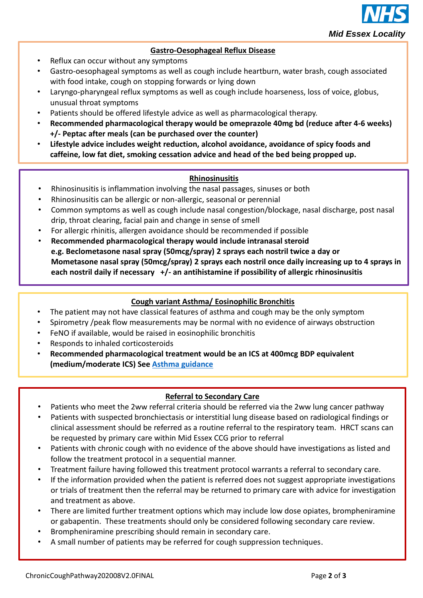

# **Gastro-Oesophageal Reflux Disease**

- Reflux can occur without any symptoms
- Gastro-oesophageal symptoms as well as cough include heartburn, water brash, cough associated with food intake, cough on stopping forwards or lying down
- Laryngo-pharyngeal reflux symptoms as well as cough include hoarseness, loss of voice, globus, unusual throat symptoms
- Patients should be offered lifestyle advice as well as pharmacological therapy.
- **Recommended pharmacological therapy would be omeprazole 40mg bd (reduce after 4-6 weeks) +/- Peptac after meals (can be purchased over the counter)**
- **Lifestyle advice includes weight reduction, alcohol avoidance, avoidance of spicy foods and caffeine, low fat diet, smoking cessation advice and head of the bed being propped up.**

# **Rhinosinusitis**

- Rhinosinusitis is inflammation involving the nasal passages, sinuses or both
- Rhinosinusitis can be allergic or non-allergic, seasonal or perennial
- Common symptoms as well as cough include nasal congestion/blockage, nasal discharge, post nasal drip, throat clearing, facial pain and change in sense of smell
- For allergic rhinitis, allergen avoidance should be recommended if possible
- **Recommended pharmacological therapy would include intranasal steroid e.g. Beclometasone nasal spray (50mcg/spray) 2 sprays each nostril twice a day or Mometasone nasal spray (50mcg/spray) 2 sprays each nostril once daily increasing up to 4 sprays in each nostril daily if necessary +/- an antihistamine if possibility of allergic rhinosinusitis**

## **Cough variant Asthma/ Eosinophilic Bronchitis**

- The patient may not have classical features of asthma and cough may be the only symptom
- Spirometry /peak flow measurements may be normal with no evidence of airways obstruction
- FeNO if available, would be raised in eosinophilic bronchitis
- Responds to inhaled corticosteroids
- **Recommended pharmacological treatment would be an ICS at 400mcg BDP equivalent (medium/moderate ICS) See [Asthma guidance](https://midessexccg.nhs.uk/medicines-optimisation/clinical-pathways-and-medication-guidelines/chapter-3-respiratory-system-2/258-chronic-asthma-in-adults-july-2013-1/file)**

## **Referral to Secondary Care**

- Patients who meet the 2ww referral criteria should be referred via the 2ww lung cancer pathway
- Patients with suspected bronchiectasis or interstitial lung disease based on radiological findings or clinical assessment should be referred as a routine referral to the respiratory team. HRCT scans can be requested by primary care within Mid Essex CCG prior to referral
- Patients with chronic cough with no evidence of the above should have investigations as listed and follow the treatment protocol in a sequential manner.
- Treatment failure having followed this treatment protocol warrants a referral to secondary care.
- If the information provided when the patient is referred does not suggest appropriate investigations or trials of treatment then the referral may be returned to primary care with advice for investigation and treatment as above.
- There are limited further treatment options which may include low dose opiates, brompheniramine or gabapentin. These treatments should only be considered following secondary care review.
- Brompheniramine prescribing should remain in secondary care.
- A small number of patients may be referred for cough suppression techniques.